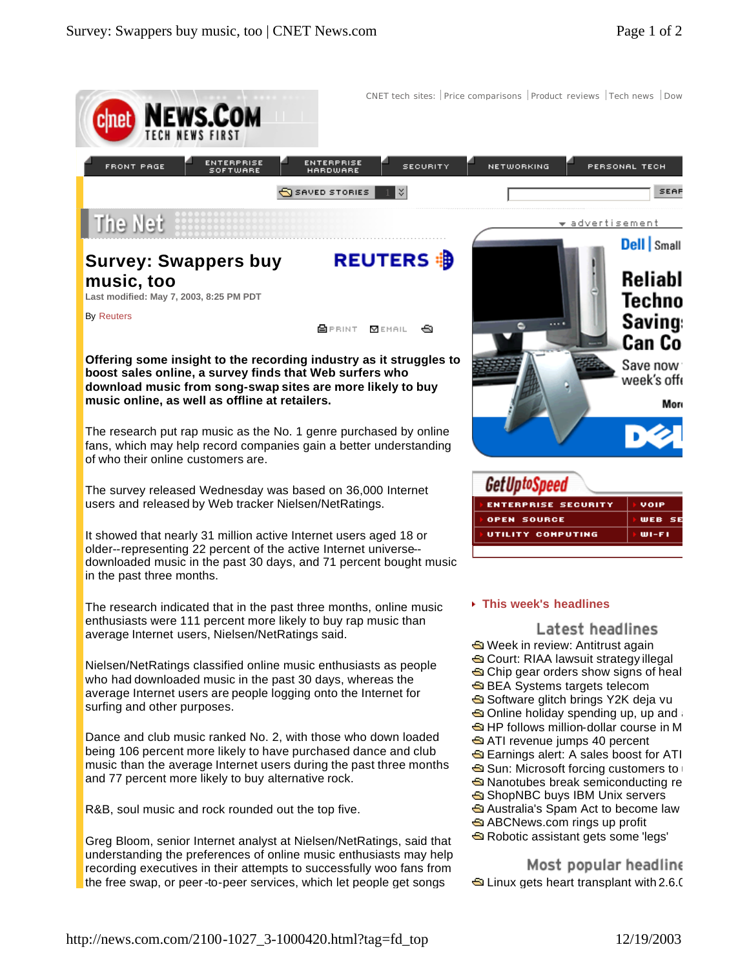